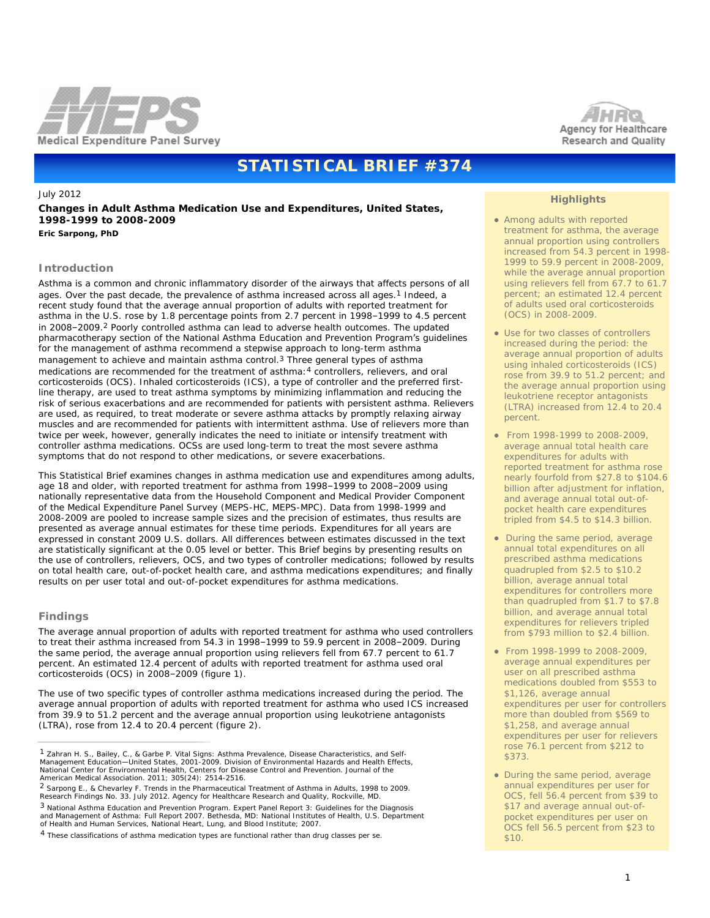

# **STATISTICAL BRIEF #374**

July 2012 **Changes in Adult Asthma Medication Use and Expenditures, United States, 1998-1999 to 2008-2009** *Eric Sarpong, PhD*

## **Introduction**

Asthma is a common and chronic inflammatory disorder of the airways that affects persons of all ages. Over the past decade, the prevalence of asthma increased across all ages.1 Indeed, a recent study found that the average annual proportion of adults with reported treatment for asthma in the U.S. rose by 1.8 percentage points from 2.7 percent in 1998–1999 to 4.5 percent in 2008–2009.2 Poorly controlled asthma can lead to adverse health outcomes. The updated pharmacotherapy section of the National Asthma Education and Prevention Program's guidelines for the management of asthma recommend a stepwise approach to long-term asthma management to achieve and maintain asthma control.<sup>3</sup> Three general types of asthma medications are recommended for the treatment of asthma:4 controllers, relievers, and oral corticosteroids (OCS). Inhaled corticosteroids (ICS), a type of controller and the preferred firstline therapy, are used to treat asthma symptoms by minimizing inflammation and reducing the risk of serious exacerbations and are recommended for patients with persistent asthma. Relievers are used, as required, to treat moderate or severe asthma attacks by promptly relaxing airway muscles and are recommended for patients with intermittent asthma. Use of relievers more than twice per week, however, generally indicates the need to initiate or intensify treatment with controller asthma medications. OCSs are used long-term to treat the most severe asthma symptoms that do not respond to other medications, or severe exacerbations.

This Statistical Brief examines changes in asthma medication use and expenditures among adults, age 18 and older, with reported treatment for asthma from 1998–1999 to 2008–2009 using nationally representative data from the Household Component and Medical Provider Component of the Medical Expenditure Panel Survey (MEPS-HC, MEPS-MPC). Data from 1998-1999 and 2008-2009 are pooled to increase sample sizes and the precision of estimates, thus results are presented as average annual estimates for these time periods. Expenditures for all years are expressed in constant 2009 U.S. dollars. All differences between estimates discussed in the text are statistically significant at the 0.05 level or better. This Brief begins by presenting results on the use of controllers, relievers, OCS, and two types of controller medications; followed by results on total health care, out-of-pocket health care, and asthma medications expenditures; and finally results on per user total and out-of-pocket expenditures for asthma medications.

#### **Findings**

The average annual proportion of adults with reported treatment for asthma who used controllers to treat their asthma increased from 54.3 in 1998–1999 to 59.9 percent in 2008–2009. During the same period, the average annual proportion using relievers fell from 67.7 percent to 61.7 percent. An estimated 12.4 percent of adults with reported treatment for asthma used oral corticosteroids (OCS) in 2008–2009 (figure 1).

The use of two specific types of controller asthma medications increased during the period. The average annual proportion of adults with reported treatment for asthma who used ICS increased from 39.9 to 51.2 percent and the average annual proportion using leukotriene antagonists (LTRA), rose from 12.4 to 20.4 percent (figure 2).

2 Sarpong E., & Chevarley F. Trends in the Pharmaceutical Treatment of Asthma in Adults, 1998 to 2009. Research Findings No. 33. July 2012. Agency for Healthcare Research and Quality, Rockville, MD. 3 National Asthma Education and Prevention Program. Expert Panel Report 3: Guidelines for the Diagnosis and Management of Asthma: Full Report 2007. Bethesda, MD: National Institutes of Health, U.S. Department of Health and Human Services, National Heart, Lung, and Blood Institute; 2007.



## **Highlights**

- Among adults with reported treatment for asthma, the average annual proportion using controllers increased from 54.3 percent in 1998- 1999 to 59.9 percent in 2008-2009, while the average annual proportion using relievers fell from 67.7 to 61.7 percent; an estimated 12.4 percent of adults used oral corticosteroids (OCS) in 2008-2009.
- Use for two classes of controllers increased during the period: the average annual proportion of adults using inhaled corticosteroids (ICS) rose from 39.9 to 51.2 percent; and the average annual proportion using leukotriene receptor antagonists (LTRA) increased from 12.4 to 20.4 percent.
- From 1998-1999 to 2008-2009, average annual total health care expenditures for adults with reported treatment for asthma rose nearly fourfold from \$27.8 to \$104.6 billion after adjustment for inflation, and average annual total out-ofpocket health care expenditures tripled from \$4.5 to \$14.3 billion.
- During the same period, average annual total expenditures on all prescribed asthma medications quadrupled from \$2.5 to \$10.2 billion, average annual total expenditures for controllers more than quadrupled from \$1.7 to \$7.8 billion, and average annual total expenditures for relievers tripled from \$793 million to \$2.4 billion.
- From 1998-1999 to 2008-2009, average annual expenditures per user on all prescribed asthma medications doubled from \$553 to \$1,126, average annual expenditures per user for controllers more than doubled from \$569 to \$1,258, and average annual expenditures per user for relievers rose 76.1 percent from \$212 to \$373.
- During the same period, average annual expenditures per user for OCS, fell 56.4 percent from \$39 to \$17 and average annual out-ofpocket expenditures per user on OCS fell 56.5 percent from \$23 to \$10.

<sup>1</sup> Zahran H. S., Bailey, C., & Garbe P. Vital Signs: Asthma Prevalence, Disease Characteristics, and Self-Management Education—United States, 2001-2009. Division of Environmental Hazards and Health Effects, National Center for Environmental Health, Centers for Disease Control and Prevention. Journal of the American Medical Association. 2011; 305(24): 2514-2516.

<sup>&</sup>lt;sup>4</sup> These classifications of asthma medication types are functional rather than drug classes per se.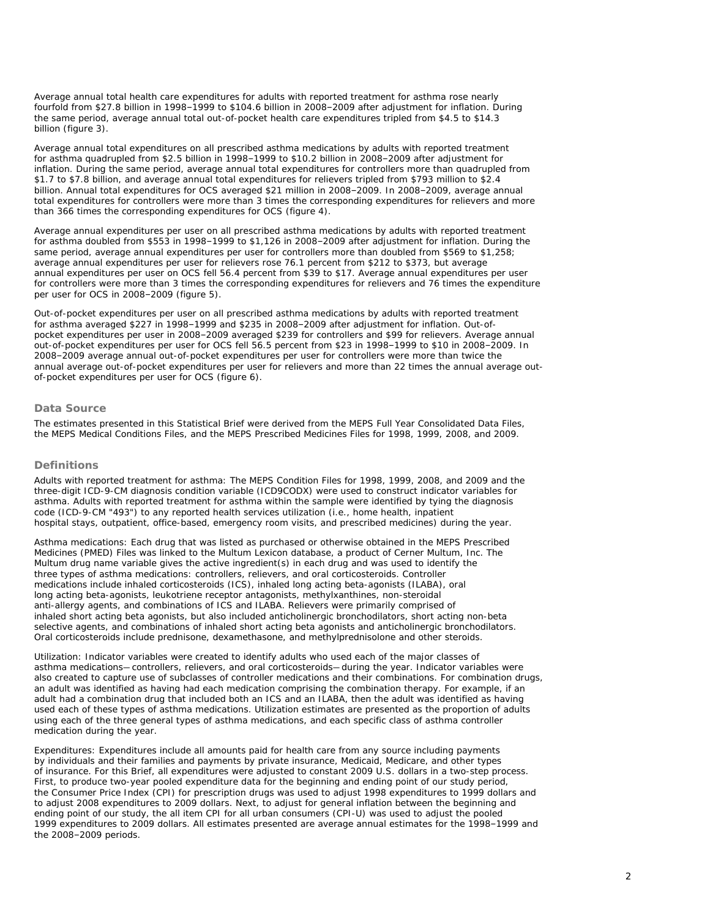Average annual total health care expenditures for adults with reported treatment for asthma rose nearly fourfold from \$27.8 billion in 1998–1999 to \$104.6 billion in 2008–2009 after adjustment for inflation. During the same period, average annual total out-of-pocket health care expenditures tripled from \$4.5 to \$14.3 billion (figure 3).

Average annual total expenditures on all prescribed asthma medications by adults with reported treatment for asthma quadrupled from \$2.5 billion in 1998–1999 to \$10.2 billion in 2008–2009 after adjustment for inflation. During the same period, average annual total expenditures for controllers more than quadrupled from \$1.7 to \$7.8 billion, and average annual total expenditures for relievers tripled from \$793 million to \$2.4 billion. Annual total expenditures for OCS averaged \$21 million in 2008–2009. In 2008–2009, average annual total expenditures for controllers were more than 3 times the corresponding expenditures for relievers and more than 366 times the corresponding expenditures for OCS (figure 4).

Average annual expenditures per user on all prescribed asthma medications by adults with reported treatment for asthma doubled from \$553 in 1998–1999 to \$1,126 in 2008–2009 after adjustment for inflation. During the same period, average annual expenditures per user for controllers more than doubled from \$569 to \$1,258; average annual expenditures per user for relievers rose 76.1 percent from \$212 to \$373, but average annual expenditures per user on OCS fell 56.4 percent from \$39 to \$17. Average annual expenditures per user for controllers were more than 3 times the corresponding expenditures for relievers and 76 times the expenditure per user for OCS in 2008–2009 (figure 5).

Out-of-pocket expenditures per user on all prescribed asthma medications by adults with reported treatment for asthma averaged \$227 in 1998–1999 and \$235 in 2008–2009 after adjustment for inflation. Out-ofpocket expenditures per user in 2008–2009 averaged \$239 for controllers and \$99 for relievers. Average annual out-of-pocket expenditures per user for OCS fell 56.5 percent from \$23 in 1998–1999 to \$10 in 2008–2009. In 2008–2009 average annual out-of-pocket expenditures per user for controllers were more than twice the annual average out-of-pocket expenditures per user for relievers and more than 22 times the annual average outof-pocket expenditures per user for OCS (figure 6).

## **Data Source**

The estimates presented in this Statistical Brief were derived from the MEPS Full Year Consolidated Data Files, the MEPS Medical Conditions Files, and the MEPS Prescribed Medicines Files for 1998, 1999, 2008, and 2009.

#### **Definitions**

*Adults with reported treatment for asthma*: The MEPS Condition Files for 1998, 1999, 2008, and 2009 and the three-digit ICD-9-CM diagnosis condition variable (ICD9CODX) were used to construct indicator variables for asthma. Adults with reported treatment for asthma within the sample were identified by tying the diagnosis code (ICD-9-CM "493") to any reported health services utilization (i.e., home health, inpatient hospital stays, outpatient, office-based, emergency room visits, and prescribed medicines) during the year.

*Asthma medications*: Each drug that was listed as purchased or otherwise obtained in the MEPS Prescribed Medicines (PMED) Files was linked to the Multum Lexicon database, a product of Cerner Multum, Inc. The Multum drug name variable gives the active ingredient(s) in each drug and was used to identify the three types of asthma medications: controllers, relievers, and oral corticosteroids. Controller medications include inhaled corticosteroids (ICS), inhaled long acting beta-agonists (ILABA), oral long acting beta-agonists, leukotriene receptor antagonists, methylxanthines, non-steroidal anti-allergy agents, and combinations of ICS and ILABA. Relievers were primarily comprised of inhaled short acting beta agonists, but also included anticholinergic bronchodilators, short acting non-beta selective agents, and combinations of inhaled short acting beta agonists and anticholinergic bronchodilators. Oral corticosteroids include prednisone, dexamethasone, and methylprednisolone and other steroids.

*Utilization*: Indicator variables were created to identify adults who used each of the major classes of asthma medications—controllers, relievers, and oral corticosteroids—during the year. Indicator variables were also created to capture use of subclasses of controller medications and their combinations. For combination drugs, an adult was identified as having had each medication comprising the combination therapy. For example, if an adult had a combination drug that included both an ICS and an ILABA, then the adult was identified as having used each of these types of asthma medications. Utilization estimates are presented as the proportion of adults using each of the three general types of asthma medications, and each specific class of asthma controller medication during the year.

*Expenditures*: Expenditures include all amounts paid for health care from any source including payments by individuals and their families and payments by private insurance, Medicaid, Medicare, and other types of insurance. For this Brief, all expenditures were adjusted to constant 2009 U.S. dollars in a two-step process. First, to produce two-year pooled expenditure data for the beginning and ending point of our study period, the Consumer Price Index (CPI) for prescription drugs was used to adjust 1998 expenditures to 1999 dollars and to adjust 2008 expenditures to 2009 dollars. Next, to adjust for general inflation between the beginning and ending point of our study, the all item CPI for all urban consumers (CPI-U) was used to adjust the pooled 1999 expenditures to 2009 dollars. All estimates presented are average annual estimates for the 1998–1999 and the 2008–2009 periods.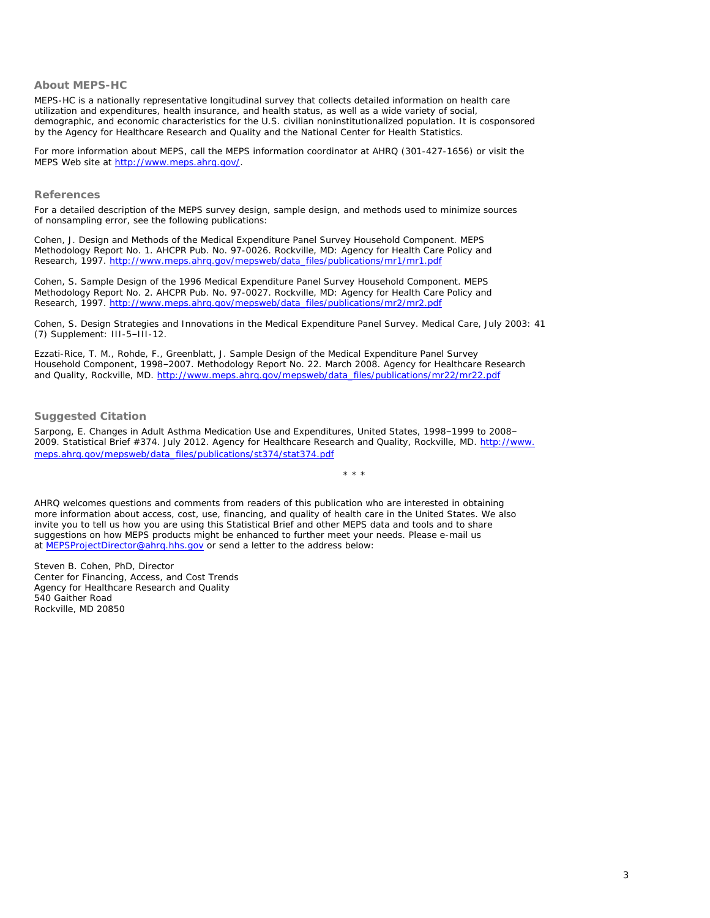## **About MEPS-HC**

MEPS-HC is a nationally representative longitudinal survey that collects detailed information on health care utilization and expenditures, health insurance, and health status, as well as a wide variety of social, demographic, and economic characteristics for the U.S. civilian noninstitutionalized population. It is cosponsored by the Agency for Healthcare Research and Quality and the National Center for Health Statistics.

For more information about MEPS, call the MEPS information coordinator at AHRQ (301-427-1656) or visit the MEPS Web site at<http://www.meps.ahrq.gov/>.

#### **References**

For a detailed description of the MEPS survey design, sample design, and methods used to minimize sources of nonsampling error, see the following publications:

Cohen, J. *Design and Methods of the Medical Expenditure Panel Survey Household Component*. MEPS Methodology Report No. 1. AHCPR Pub. No. 97-0026. Rockville, MD: Agency for Health Care Policy and Research, 1997. [http://www.meps.ahrq.gov/mepsweb/data\\_files/publications/mr1/mr1.pdf](http://www.meps.ahrq.gov/mepsweb/data_files/publications/mr1/mr1.pdf)

Cohen, S. *Sample Design of the 1996 Medical Expenditure Panel Survey Household Component*. MEPS Methodology Report No. 2. AHCPR Pub. No. 97-0027. Rockville, MD: Agency for Health Care Policy and Research, 1997. [http://www.meps.ahrq.gov/mepsweb/data\\_files/publications/mr2/mr2.pdf](http://www.meps.ahrq.gov/mepsweb/data_files/publications/mr2/mr2.pdf)

Cohen, S. Design Strategies and Innovations in the Medical Expenditure Panel Survey. *Medical Care*, July 2003: 41 (7) Supplement: III-5–III-12.

Ezzati-Rice, T. M., Rohde, F., Greenblatt, J. *Sample Design of the Medical Expenditure Panel Survey Household Component, 1998–2007*. Methodology Report No. 22. March 2008. Agency for Healthcare Research and Quality, Rockville, MD. [http://www.meps.ahrq.gov/mepsweb/data\\_files/publications/mr22/mr22.pdf](http://www.meps.ahrq.gov/mepsweb/data_files/publications/mr22/mr22.pdf)

## **Suggested Citation**

Sarpong, E. *Changes in Adult Asthma Medication Use and Expenditures, United States, 1998–1999 to 2008– 2009*. Statistical Brief #374. July 2012. Agency for Healthcare Research and Quality, Rockville, MD. [http://www.](http://www.meps.ahrq.gov/mepsweb/data_files/publications/st374/stat374.pdf) [meps.ahrq.gov/mepsweb/data\\_files/publications/st374/stat374.pdf](http://www.meps.ahrq.gov/mepsweb/data_files/publications/st374/stat374.pdf)

\* \* \*

AHRQ welcomes questions and comments from readers of this publication who are interested in obtaining more information about access, cost, use, financing, and quality of health care in the United States. We also invite you to tell us how you are using this Statistical Brief and other MEPS data and tools and to share suggestions on how MEPS products might be enhanced to further meet your needs. Please e-mail us at [MEPSProjectDirector@ahrq.hhs.gov](file:////SSTHOST50/Projects/Ahrq3Web/MEPSPUBS/gen_sb/data_files/publications/sb374/MEPSProjectDirector@ahrq.hhs.gov) or send a letter to the address below:

Steven B. Cohen, PhD, Director Center for Financing, Access, and Cost Trends Agency for Healthcare Research and Quality 540 Gaither Road Rockville, MD 20850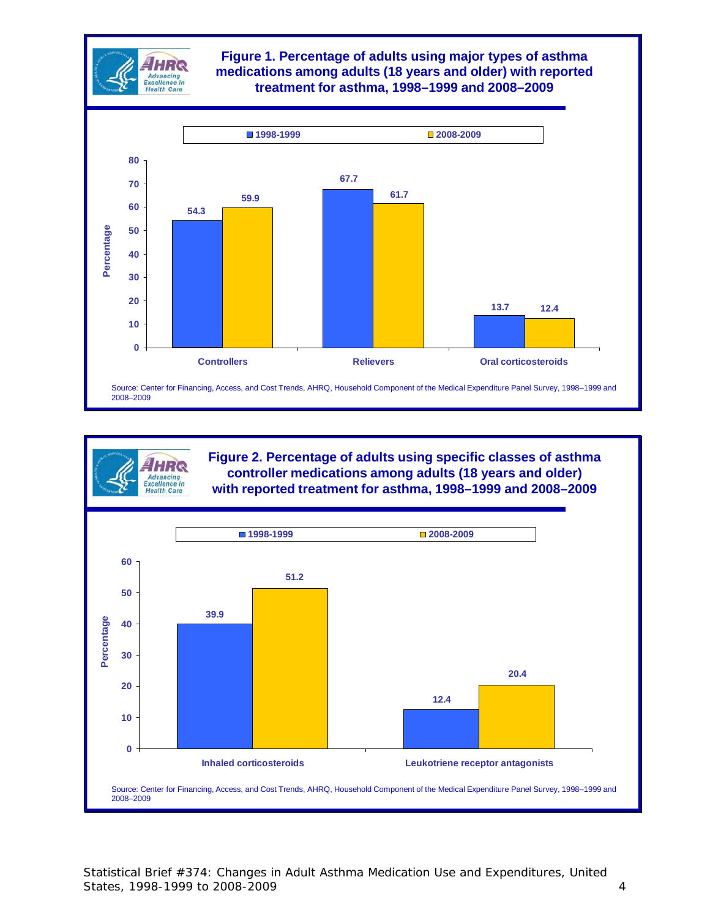

HRQ Advancing<br>Excellence in **Health Care** 

## **Figure 1. Percentage of adults using major types of asthma medications among adults (18 years and older) with reported treatment for asthma, 1998–1999 and 2008–2009**



**Figure 2. Percentage of adults using specific classes of asthma controller medications among adults (18 years and older) with reported treatment for asthma, 1998–1999 and 2008–2009**

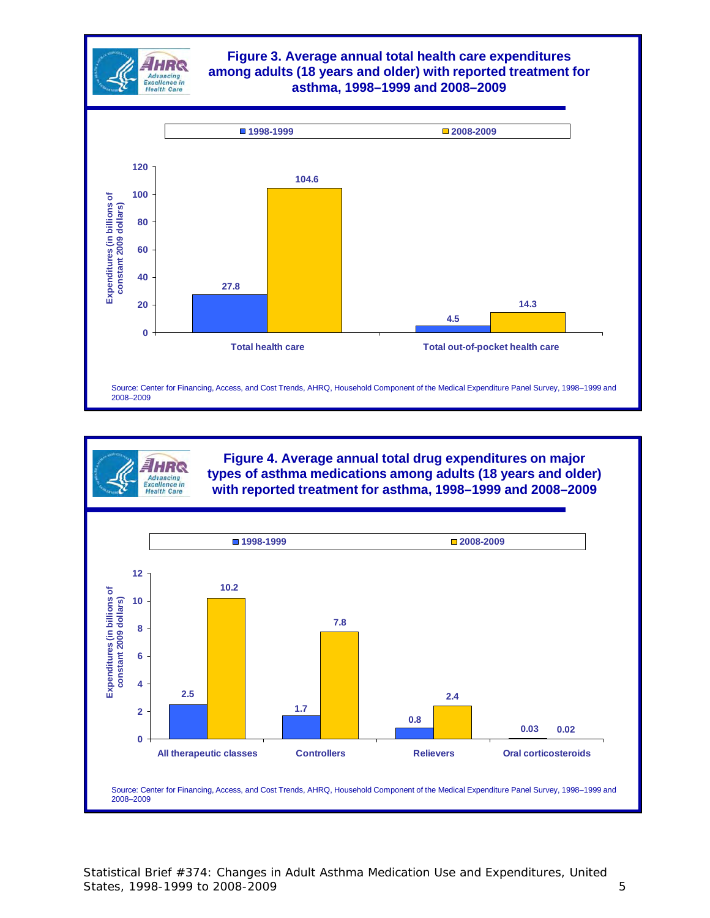

**Figure 4. Average annual total drug expenditures on major types of asthma medications among adults (18 years and older) with reported treatment for asthma, 1998–1999 and 2008–2009**



HER Advancing<br>Excellence in **Health Care** 

Statistical Brief #374: Changes in Adult Asthma Medication Use and Expenditures, United States, 1998-1999 to 2008-2009 **5**